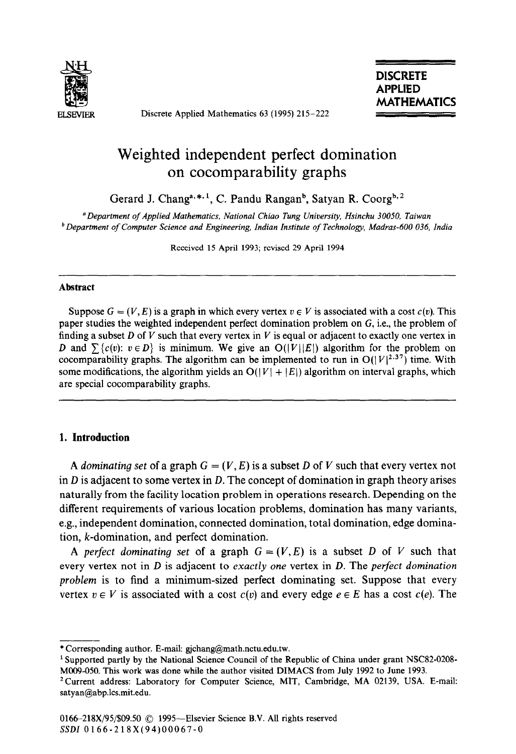

Discrete Applied Mathematics 63 (1995) 215-222

# Weighted independent perfect domination on cocomparability graphs

Gerard J. Changa, \*, <sup>1</sup>, C. Pandu Rangan<sup>b</sup>, Satyan R. Coorg<sup>b, 2</sup>

'Department of Applied *Mathematics, National Chiao Tung University, Hsinchu 30050, Taiwan b Department of Computer Science and Engineen'ng, Indian Institute of Technology, Madras-600 036, India* 

Received 15 April 1993; revised 29 April 1994

#### **Abstract**

Suppose  $G = (V, E)$  is a graph in which every vertex  $v \in V$  is associated with a cost  $c(v)$ . This paper studies the weighted independent perfect domination problem on G, i.e., the problem of finding a subset *D* of *V* such that every vertex in *V* is equal or adjacent to exactly one vertex in *D* and  $\sum {c(v): v \in D}$  is minimum. We give an  $O(|V||E|)$  algorithm for the problem on cocomparability graphs. The algorithm can be implemented to run in  $O(|V|^{2.37})$  time. With some modifications, the algorithm yields an  $O(|V| + |E|)$  algorithm on interval graphs, which are special cocomparability graphs.

## 1. Introduction

A *dominating set* of a graph  $G = (V, E)$  is a subset *D* of *V* such that every vertex not in *D* is adjacent to some vertex in *D.* The concept of domination in graph theory arises naturally from the facility location problem in operations research. Depending on the different requirements of various location problems, domination has many variants, e.g., independent domination, connected domination, total domination, edge domination, k-domination, and perfect domination.

A *perfect dominating set* of a graph  $G = (V, E)$  is a subset *D* of *V* such that every vertex not in *D* is adjacent to *exactly* one vertex in *D.* The *perfect domination problem* is to find a minimum-sized perfect dominating set. Suppose that every vertex  $v \in V$  is associated with a cost  $c(v)$  and every edge  $e \in E$  has a cost  $c(e)$ . The

<sup>\*</sup>Corresponding author. E-mail: gjchang@math.nctu.edu.tw.

<sup>&</sup>lt;sup>1</sup> Supported partly by the National Science Council of the Republic of China under grant NSC82-0208-MOO9-050. This work was done while the author visited DIMACS from July 1992 to June 1993.

<sup>&</sup>lt;sup>2</sup> Current address: Laboratory for Computer Science, MIT, Cambridge, MA 02139, USA. E-mail: satyan@abp.lcs.mit.edu.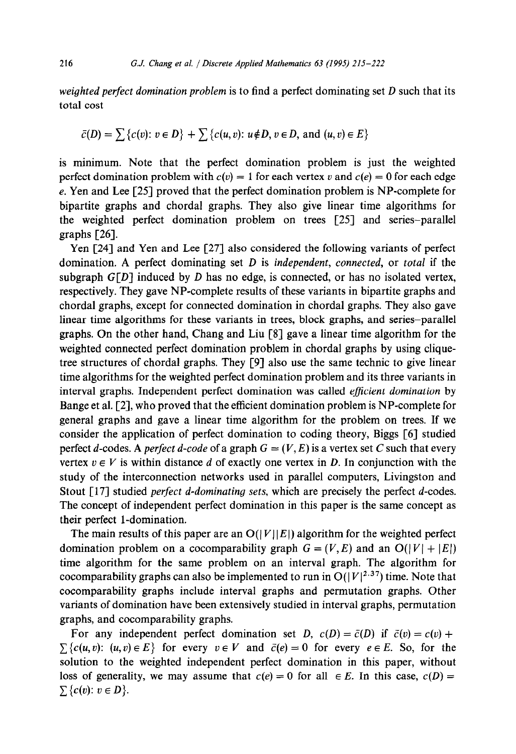*weighted perfect domination problem* is to find a perfect dominating set *D* such that its total cost

$$
\bar{c}(D) = \sum \{c(v): v \in D\} + \sum \{c(u, v): u \notin D, v \in D, \text{ and } (u, v) \in E\}
$$

is minimum. Note that the perfect domination problem is just the weighted perfect domination problem with  $c(v) = 1$  for each vertex v and  $c(e) = 0$  for each edge e. Yen and Lee [25] proved that the perfect domination problem is NP-complete for bipartite graphs and chordal graphs. They also give linear time algorithms for the weighted perfect domination problem on trees [25] and series-parallel graphs [26].

Yen [24] and Yen and Lee [27] also considered the following variants of perfect domination. A perfect dominating set *D* is *independent, connected,* or *total* if the subgraph  $G[D]$  induced by *D* has no edge, is connected, or has no isolated vertex, respectively. They gave NP-complete results of these variants in bipartite graphs and chordal graphs, except for connected domination in chordal graphs. They also gave linear time algorithms for these variants in trees, block graphs, and series-parallel graphs. On the other hand, Chang and Liu [S] gave a linear time algorithm for the weighted connected perfect domination problem in chordal graphs by using cliquetree structures of chordal graphs. They [9] also use the same technic to give linear time algorithms for the weighted perfect domination problem and its three variants in interval graphs. Independent perfect domination was called *efJicient domination* by Bange et al. [2], who proved that the efficient domination problem is NP-complete for general graphs and gave a linear time algorithm for the problem on trees. If we consider the application of perfect domination to coding theory, Biggs [6] studied perfect d-codes. A *perfect* d-code of a graph  $G = (V, E)$  is a vertex set C such that every vertex  $v \in V$  is within distance *d* of exactly one vertex in *D*. In conjunction with the study of the interconnection networks used in parallel computers, Livingston and Stout [17] studied *perfect d-dominating sets,* which are precisely the perfect d-codes. The concept of independent perfect domination in this paper is the same concept as their perfect l-domination.

The main results of this paper are an  $O(|V||E|)$  algorithm for the weighted perfect domination problem on a cocomparability graph  $G = (V, E)$  and an  $O(|V| + |E|)$ time algorithm for the same problem on an interval graph. The algorithm for cocomparability graphs can also be implemented to run in  $O(|V|^{2.37})$  time. Note that cocomparability graphs include interval graphs and permutation graphs. Other variants of domination have been extensively studied in interval graphs, permutation graphs, and cocomparability graphs.

For any independent perfect domination set *D*,  $c(D) = \overline{c}(D)$  if  $\overline{c}(v) = c(v) + c(v)$  $\sum \{c(u, v): (u, v) \in E\}$  for every  $v \in V$  and  $\bar{c}(e) = 0$  for every  $e \in E$ . So, for the solution to the weighted independent perfect domination in this paper, without loss of generality, we may assume that  $c(e) = 0$  for all  $\in E$ . In this case,  $c(D) = 0$  $\sum \{c(v): v \in D\}.$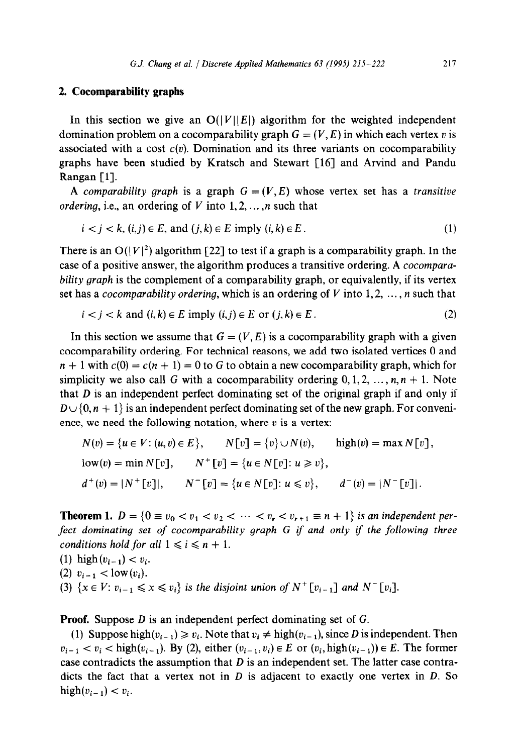### **2. Cocomparability graphs**

In this section we give an  $O(|V||E|)$  algorithm for the weighted independent domination problem on a cocomparability graph  $G = (V, E)$  in which each vertex v is associated with a cost  $c(v)$ . Domination and its three variants on cocomparability graphs have been studied by Kratsch and Stewart [16] and Arvind and Pandu Rangan [1].

A comparability graph is a graph  $G = (V, E)$  whose vertex set has a transitive *ordering, i.e., an ordering of V into*  $1, 2, \ldots, n$  *such that* 

$$
i < j < k, (i, j) \in E, \text{ and } (j, k) \in E \text{ imply } (i, k) \in E. \tag{1}
$$

There is an  $O(|V|^2)$  algorithm [22] to test if a graph is a comparability graph. In the case of a positive answer, the algorithm produces a transitive ordering. A *cocompara*bility *graph* is the complement of a comparability graph, or equivalently, if its vertex set has a *cocomparability ordering*, which is an ordering of V into 1,2,  $\dots$ , *n* such that

$$
i < j < k \text{ and } (i, k) \in E \text{ imply } (i, j) \in E \text{ or } (j, k) \in E \,. \tag{2}
$$

In this section we assume that  $G = (V, E)$  is a cocomparability graph with a given cocomparability ordering. For technical reasons, we add two isolated vertices 0 and  $n + 1$  with  $c(0) = c(n + 1) = 0$  to G to obtain a new cocomparability graph, which for simplicity we also call G with a cocomparability ordering  $0, 1, 2, \ldots, n, n + 1$ . Note that  $D$  is an independent perfect dominating set of the original graph if and only if  $D \cup \{0, n + 1\}$  is an independent perfect dominating set of the new graph. For convenience, we need the following notation, where  $v$  is a vertex:

$$
N(v) = \{u \in V : (u, v) \in E\}, \qquad N[v] = \{v\} \cup N(v), \qquad \text{high}(v) = \max N[v],
$$
  
\n
$$
\text{low}(v) = \min N[v], \qquad N^+[v] = \{u \in N[v] : u \ge v\},
$$
  
\n
$$
d^+(v) = |N^+[v]|, \qquad N^-[v] = \{u \in N[v] : u \le v\}, \qquad d^-(v) = |N^-[v]|.
$$

**Theorem 1.**  $D = \{0 \equiv v_0 < v_1 < v_2 < \cdots < v_r < v_{r+1} \equiv n+1\}$  is an independent per*fect dominating set of cocomparability graph G if and only if the following three conditions hold for all*  $1 \le i \le n + 1$ .

\n- (1) high 
$$
(v_{i-1}) < v_i
$$
.
\n- (2)  $v_{i-1} < \text{low}(v_i)$ .
\n- (3)  $\{x \in V: v_{i-1} \leq x \leq v_i\}$  is the disjoint union of  $N^+[v_{i-1}]$  and  $N^-[v_i]$ .
\n

**Proof.** Suppose *D* is an independent perfect dominating set of G.

(1) Suppose high $(v_{i-1}) \geq v_i$ . Note that  $v_i \neq \text{high}(v_{i-1})$ , since *D* is independent. Then  $v_{i-1} < v_i$  < high( $v_{i-1}$ ). By (2), either  $(v_{i-1}, v_i) \in E$  or  $(v_i, \text{high}(v_{i-1})) \in E$ . The former case contradicts the assumption that *D* is an independent set. The latter case contradicts the fact that a vertex not in *D* is adjacent to exactly one vertex in *D. So*  high $(v_{i-1}) < v_i$ .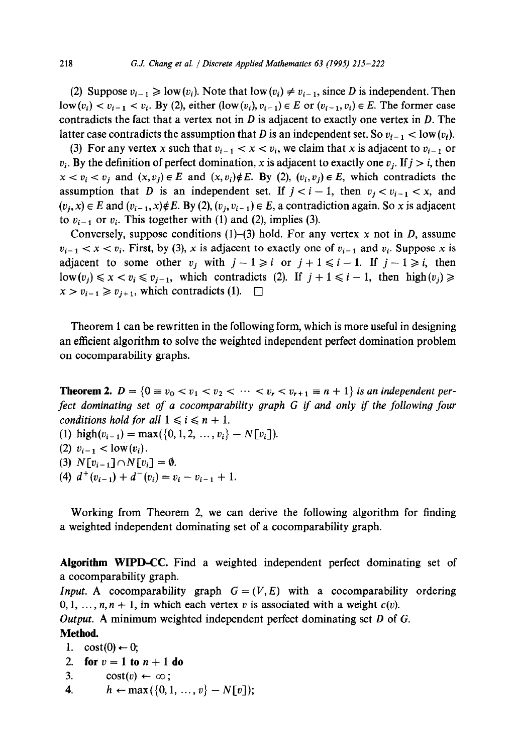(2) Suppose  $v_{i-1} \geq \text{low}(v_i)$ . Note that  $\text{low}(v_i) \neq v_{i-1}$ , since *D* is independent. Then  $\text{low}(v_i) < v_{i-1} < v_i$ . By (2), either  $(\text{low}(v_i), v_{i-1}) \in E$  or  $(v_{i-1}, v_i) \in E$ . The former case contradicts the fact that a vertex not in *D* is adjacent to exactly one vertex in *D.* The latter case contradicts the assumption that *D* is an independent set. So  $v_{i-1} <$  low  $(v_i)$ .

(3) For any vertex x such that  $v_{i-1} < x < v_i$ , we claim that x is adjacent to  $v_{i-1}$  or  $v_i$ . By the definition of perfect domination, x is adjacent to exactly one  $v_i$ . If  $j > i$ , then  $x < v_i < v_j$  and  $(x, v_j) \in E$  and  $(x, v_i) \notin E$ . By (2),  $(v_i, v_j) \in E$ , which contradicts the assumption that *D* is an independent set. If  $j < i - 1$ , then  $v_i < v_{i-1} < x$ , and  $(v_i, x) \in E$  and  $(v_{i-1}, x) \notin E$ . By (2),  $(v_i, v_{i-1}) \in E$ , a contradiction again. So x is adjacent to  $v_{i-1}$  or  $v_i$ . This together with (1) and (2), implies (3).

Conversely, suppose conditions (l)-(3) hold. For any vertex x not in *D,* assume  $v_{i-1} < x < v_i$ . First, by (3), x is adjacent to exactly one of  $v_{i-1}$  and  $v_i$ . Suppose x is adjacent to some other  $v_i$  with  $j - 1 \geq i$  or  $j + 1 \leq i - 1$ . If  $j - 1 \geq i$ , then  $1\text{ow}(v_i) \leq x < v_i \leq v_{i-1}$ , which contradicts (2). If  $j + 1 \leq i - 1$ , then high $(v_j) \geq$  $x > v_{i-1} \ge v_{i+1}$ , which contradicts (1).  $\Box$ 

Theorem 1 can be rewritten in the following form, which is more useful in designing an efficient algorithm to solve the weighted independent perfect domination problem on cocomparability graphs.

**Theorem 2.**  $D = \{0 \equiv v_0 < v_1 < v_2 < \cdots < v_r < v_{r+1} \equiv n+1\}$  *is an independent per*fect dominating set of a cocomparability graph G if and only if the following four *conditions hold for all*  $1 \le i \le n + 1$ .

- (1) high( $v_{i-1}$ ) = max({0, 1, 2, ...,  $v_i$ } N[ $v_i$ ]).
- (2)  $v_{i-1} <$  low  $(v_i)$ .
- (3)  $N[v_{i-1}] \cap N[v_i] = \emptyset$ .
- (4)  $d^+(v_{i-1}) + d^-(v_i) = v_i v_{i-1} + 1$ .

Working from Theorem 2, we can derive the following algorithm for finding a weighted independent dominating set of a cocomparability graph.

**Algorithm WIPD-CC.** Find a weighted independent perfect dominating set of a cocomparability graph.

*Input.* A cocomparability graph  $G = (V, E)$  with a cocomparability ordering  $0, 1, \ldots, n, n + 1$ , in which each vertex v is associated with a weight  $c(v)$ .

*Output.* A minimum weighted independent perfect dominating set *D* of G. **Method.** 

```
1. cost(0) \leftarrow 0;
```

```
2. for v = 1 to n + 1 do
```
- 3.  $\cos(t) \leftarrow \infty$ ;
- 4.  $h \leftarrow \max({0, 1, ..., v} N[v])$ ;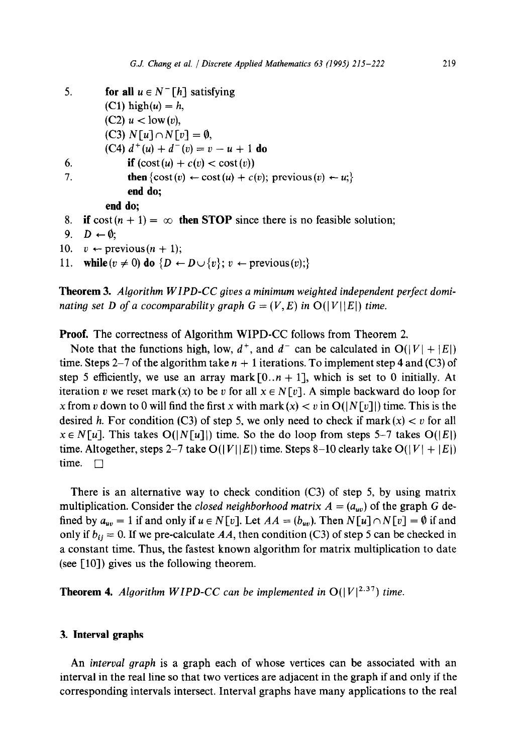```
5. for all u \in N^{-}[h] satisfying
         (C1) high(u) = h,
         (C2) u < low(v),
         (C3) N[u] \cap N[v] = \emptyset,
         (C4) d^+(u) + d^-(v) = v - u + 1 do
6. if (\text{cost}(u) + c(v) < \text{cost}(v))7. then \{\cos t(v) \leftarrow \cos t(u) + c(v); previous(v) \leftarrow u;end do; 
         end do; 
8. if \text{cost}(n + 1) = \infty then STOP since there is no feasible solution;
```

```
9. D \leftarrow \emptyset;
```
10.  $v \leftarrow \text{previous}(n + 1);$ 

11. **while**  $(v \neq 0)$  do  $\{D \leftarrow D \cup \{v\}; v \leftarrow \text{previous}(v);$ 

**Theorem 3.** *Algorithm WIPD-CC gives a minimum weighted independent perfect dominating set D of a cocomparability graph*  $G = (V, E)$  *in*  $O(|V||E|)$  *time.* 

**Proof.** The correctness of Algorithm WIPD-CC follows from Theorem 2.

Note that the functions high, low,  $d^+$ , and  $d^-$  can be calculated in  $O(|V| + |E|)$ time. Steps 2–7 of the algorithm take  $n + 1$  iterations. To implement step 4 and (C3) of step 5 efficiently, we use an array mark  $[0..n + 1]$ , which is set to 0 initially. At iteration v we reset mark (x) to be v for all  $x \in N[v]$ . A simple backward do loop for x from v down to 0 will find the first x with mark  $(x) < v$  in  $O(|N[v]|)$  time. This is the desired *h*. For condition (C3) of step 5, we only need to check if mark $(x) < v$  for all  $x \in N[u]$ . This takes  $O(|N[u]|)$  time. So the do loop from steps 5-7 takes  $O(|E|)$ time. Altogether, steps 2–7 take  $O(|V||E|)$  time. Steps 8–10 clearly take  $O(|V| + |E|)$ time.  $\Box$ 

There is an alternative way to check condition  $(C3)$  of step 5, by using matrix multiplication. Consider the *closed neighborhood matrix*  $A = (a_{uv})$  of the graph G defined by  $a_{uv} = 1$  if and only if  $u \in N[v]$ . Let  $AA = (b_{uv})$ . Then  $N[u] \cap N[v] = \emptyset$  if and only if  $b_{ij} = 0$ . If we pre-calculate AA, then condition (C3) of step 5 can be checked in a constant time. Thus, the fastest known algorithm for matrix multiplication to date (see  $[10]$ ) gives us the following theorem.

**Theorem 4.** *Algorithm WIPD-CC can be implemented in*  $O(|V|^{2.37})$  *time.* 

#### **3. Interval graphs**

An *interval graph* is a graph each of whose vertices can be associated with an interval in the real line so that two vertices are adjacent in the graph if and only if the corresponding intervals intersect. Interval graphs have many applications to the real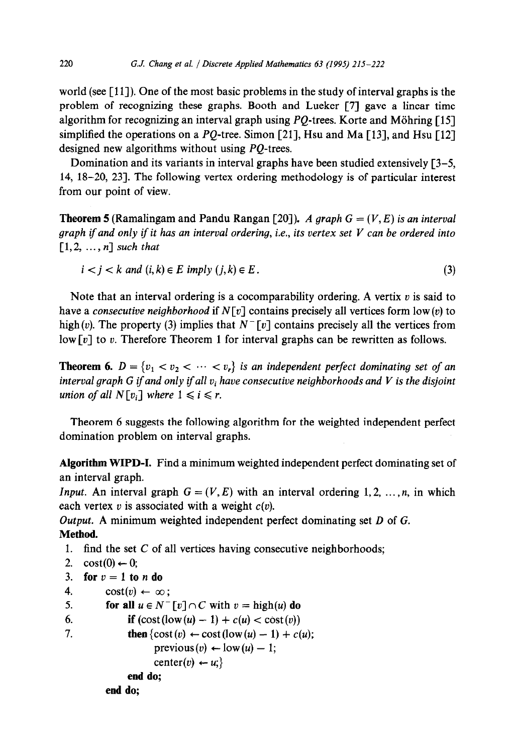world (see [ 111). One of the most basic problems in the study of interval graphs is the problem of recognizing these graphs. Booth and Lueker [7] gave a linear time algorithm for recognizing an interval graph using  $PQ$ -trees. Korte and Möhring [15] simplified the operations on a PQ-tree. Simon [21], Hsu and Ma [13], and Hsu [12] designed new algorithms without using PQ-trees.

Domination and its variants in interval graphs have been studied extensively  $[3-5, 1]$ 14, 18-20, 231. The following vertex ordering methodology is of particular interest from our point of view.

**Theorem 5** (Ramalingam and Pandu Rangan [20]). A graph  $G = (V, E)$  is an interval *graph if and only if it has an interval ordering, i.e., its vertex set V can be ordered into*  $\lceil 1, 2, \ldots, n \rceil$  such that

$$
i < j < k \text{ and } (i, k) \in E \text{ imply } (j, k) \in E \,. \tag{3}
$$

Note that an interval ordering is a cocomparability ordering. A vertix  $v$  is said to have a *consecutive neighborhood* if N[v] contains precisely all vertices form low(v) to high(v). The property (3) implies that  $N^{-}[v]$  contains precisely all the vertices from low  $[v]$  to v. Therefore Theorem 1 for interval graphs can be rewritten as follows.

**Theorem 6.**  $D = \{v_1 < v_2 < \cdots < v_r\}$  is an independent perfect dominating set of an *interval graph G if and only if all*  $v_i$  *have consecutive neighborhoods and V is the disjoint union of all*  $N[v_i]$  *where*  $1 \le i \le r$ *.* 

Theorem 6 suggests the following algorithm for the weighted independent perfect domination problem on interval graphs.

**Algorithm WIPD-I.** Find a minimum weighted independent perfect dominating set of an interval graph.

*Input.* An interval graph  $G = (V, E)$  with an interval ordering 1,2, ..., *n*, in which each vertex  $v$  is associated with a weight  $c(v)$ .

*Output.* A minimum weighted independent perfect dominating set *D* of G. **Method.** 

1. find the set  $C$  of all vertices having consecutive neighborhoods;

```
2. \cos t(0) \leftarrow 0;
```

```
3. for v = 1 to n do
```

```
4. \cos(t) \leftarrow \infty;
```
**end do;** 

**end do;** 

```
5. for all u \in N^{-} \lceil v \rceil \cap C with v = \text{high}(u) do
```

```
6. if (\text{cost}(low(u) - 1) + c(u) < \text{cost}(v))
```

```
7. then \{\cos(t) \leftarrow \cos(t) \left( \cos(u) - 1 \right) + c(u);previous (v) \leftarrow low(u) - 1;
```

```
center(v) \leftarrow u;
```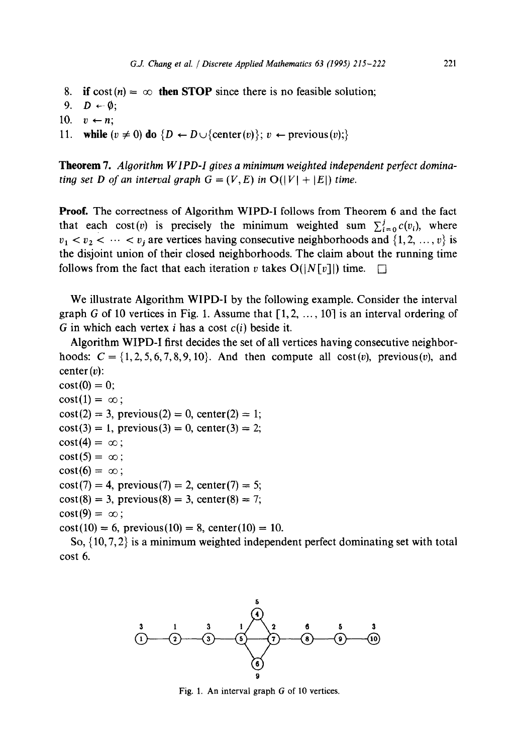- 8. if  $\text{cost}(n) = \infty$  then STOP since there is no feasible solution;
- 9.  $D \leftarrow \emptyset$ ;
- 10.  $v \leftarrow n$ ;
- 11. **while**  $(v \neq 0)$  do  $\{D \leftarrow D \cup \{\text{center}(v)\}; v \leftarrow \text{previous}(v)\}$

**Theorem 7.** *Algorithm WIPD-I gives a minimum weighted independent perfect dominating set D of an interval graph G = (V, E) in*  $O(|V| + |E|)$  *time.* 

**Proof.** The correctness of Algorithm WIPD-I follows from Theorem 6 and the fact that each cost(v) is precisely the minimum weighted sum  $\sum_{i=0}^{j} c(v_i)$ , where  $v_1 < v_2 < \cdots < v_i$  are vertices having consecutive neighborhoods and  $\{1, 2, \ldots, v\}$  is the disjoint union of their closed neighborhoods. The claim about the running time follows from the fact that each iteration v takes  $O(|N[v]|)$  time.

We illustrate Algorithm WIPD-I by the following example. Consider the interval graph G of 10 vertices in Fig. 1. Assume that  $[1, 2, ..., 10]$  is an interval ordering of G in which each vertex i has a cost *c(i)* beside it.

Algorithm WIPD-I first decides the set of all vertices having consecutive neighborhoods:  $C = \{1, 2, 5, 6, 7, 8, 9, 10\}$ . And then compute all  $cost(v)$ , previous(v), and center $(v)$ :

```
cost(0) = 0;
cost(1) = \infty;
cost(2) = 3, previous(2) = 0, center(2) = 1;
cost(3) = 1, previous(3) = 0, center(3) = 2;
cost(4) = \infty;cost(5) = \infty;
cost(6) = \infty;
cost(7) = 4, previous(7) = 2, center(7) = 5;
cost(8) = 3, previous(8) = 3, center(8) = 7;
cost(9) = \infty;cost(10) = 6, previous(10) = 8, center(10) = 10.
```
So,  $\{10, 7, 2\}$  is a minimum weighted independent perfect dominating set with total cost 6.



Fig. 1. An interval graph G of 10 vertices.